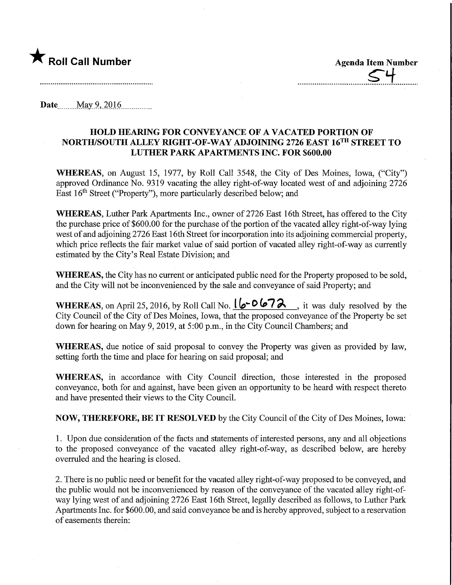

**Agenda Item Number** 

Date........May9,.2Q16,

## HOLD HEARING FOR CONVEYANCE OF A VACATED PORTION OF NORTH/SOUTH ALLEY RIGHT-OF-WAY ADJOINING 2726 EAST 16™ STREET TO LUTHER PARK APARTMENTS INC. FOR \$600.00

WHEREAS, on August 15, 1977, by Roll Call 3548, the City of Des Moines, Iowa, ("City") approved Ordinance No. 9319 vacating the alley right-of-way located west of and adjoining 2726 East 16<sup>th</sup> Street ("Property"), more particularly described below; and

WHEREAS, Luther Park Apartments Inc., owner of 2726 East 16th Street, has offered to the City the purchase price of \$600.00 for the purchase of the portion of the vacated alley right-of-way lying west of and adjoining 2726 East 16th Street for incorporation into its adjoining commercial property, which price reflects the fair market value of said portion of vacated alley right-of-way as currently estimated by the City's Real Estate Division; and

WHEREAS, the City has no current or anticipated public need for the Property proposed to be sold, and the City will not be inconvenienced by the sale and conveyance of said Property; and

WHEREAS, on April 25, 2016, by Roll Call No.  $\sqrt{2}$   $\sigma$   $\sqrt{2}$  , it was duly resolved by the City Council of the City of Des Moines, Iowa, that the proposed conveyance of the Property be set down for hearing on May 9,2019, at 5:00 p.m., in the City Council Chambers; and

WHEREAS, due notice of said proposal to convey the Property was given as provided by law, setting forth the time and place for hearing on said proposal; and

WHEREAS, in accordance with City Council direction, those interested in the proposed conveyance, both for and against, have been given an opportunity to be heard with respect thereto and have presented their views to the City Council.

NOW, THEREFORE, BE IT RESOLVED by the City Council of the City of Des Moines, Iowa:

1. Upon due consideration of the facts and statements of interested persons, any and all objections to the proposed conveyance of the vacated alley right-of-way, as described below, are hereby overruled and the hearing is closed.

2. There is no public need or benefit for the vacated alley right-of-way proposed to be conveyed, and the public would not be inconvenienced by reason of the conveyance of the vacated alley right-ofway lying west of and adjoining 2726 East 16th Street, legally described as follows, to Luther Park Apartments Inc. for \$600.00, and said conveyance be and is hereby approved, subject to a reservation of easements therein: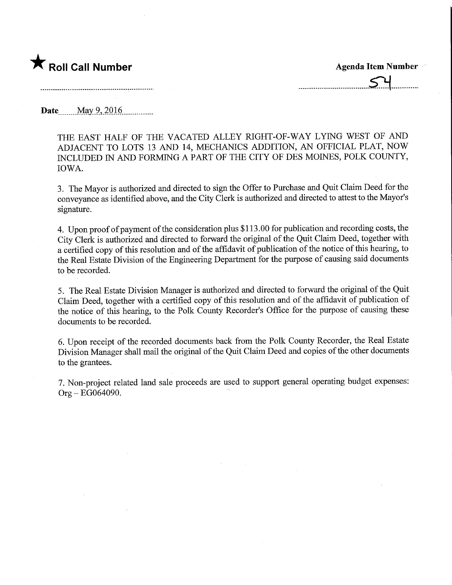

Date..,\_.Max9,2Q16,

THE EAST HALF OF THE VACATED ALLEY RIGHT-OF-WAY LYING WEST OF AND ADJACENT TO LOTS 13 AND 14, MECHANICS ADDITION, AN OFFICIAL PLAT, NOW INCLUDED IN AND FORMING A PART OF THE CITY OF DES MOINES, POLK COUNTY, IOWA.

3. The Mayor is authorized and directed to sign the Offer to Purchase and Quit Claim Deed for the conveyance as identified above, and the City Clerk is authorized and directed to attest to the Mayor's signature.

4. Upon proof of payment of the consideration plus \$113.00 for publication and recording costs, the City Clerk is authorized and directed to fonvard the original of the Quit Claim Deed, together with a certified copy of this resolution and of the affidavit of publication of the notice of this hearing, to the Real Estate Division of the Engineering Department for the purpose of causing said documents to be recorded.

5. The Real Estate Division Manager is authorized and directed to forward the original of the Quit Claim Deed, together with a certified copy of this resolution and of the affidavit of publication of the notice of this hearing, to the Polk County Recorder's Office for the purpose of causing these documents to be recorded.

6. Upon receipt of the recorded documents back from the Polk County Recorder, the Real Estate Division Manager shall mail the original of the Quit Claim Deed and copies of the other documents to the grantees.

7. Non-project related land sale proceeds are used to support general operating budget expenses:  $Org - EG064090.$